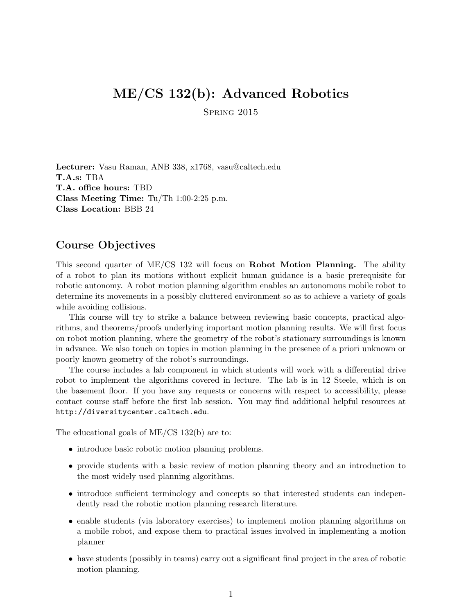# ME/CS 132(b): Advanced Robotics

Spring 2015

Lecturer: Vasu Raman, ANB 338, x1768, vasu@caltech.edu T.A.s: TBA T.A. office hours: TBD Class Meeting Time: Tu/Th 1:00-2:25 p.m. Class Location: BBB 24

#### Course Objectives

This second quarter of ME/CS 132 will focus on Robot Motion Planning. The ability of a robot to plan its motions without explicit human guidance is a basic prerequisite for robotic autonomy. A robot motion planning algorithm enables an autonomous mobile robot to determine its movements in a possibly cluttered environment so as to achieve a variety of goals while avoiding collisions.

This course will try to strike a balance between reviewing basic concepts, practical algorithms, and theorems/proofs underlying important motion planning results. We will first focus on robot motion planning, where the geometry of the robot's stationary surroundings is known in advance. We also touch on topics in motion planning in the presence of a priori unknown or poorly known geometry of the robot's surroundings.

The course includes a lab component in which students will work with a differential drive robot to implement the algorithms covered in lecture. The lab is in 12 Steele, which is on the basement floor. If you have any requests or concerns with respect to accessibility, please contact course staff before the first lab session. You may find additional helpful resources at http://diversitycenter.caltech.edu.

The educational goals of ME/CS 132(b) are to:

- introduce basic robotic motion planning problems.
- provide students with a basic review of motion planning theory and an introduction to the most widely used planning algorithms.
- introduce sufficient terminology and concepts so that interested students can independently read the robotic motion planning research literature.
- enable students (via laboratory exercises) to implement motion planning algorithms on a mobile robot, and expose them to practical issues involved in implementing a motion planner
- have students (possibly in teams) carry out a significant final project in the area of robotic motion planning.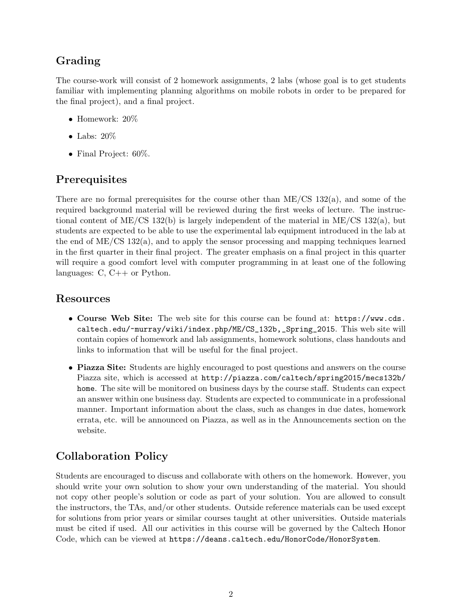# Grading

The course-work will consist of 2 homework assignments, 2 labs (whose goal is to get students familiar with implementing planning algorithms on mobile robots in order to be prepared for the final project), and a final project.

- Homework: 20%
- Labs: 20%
- Final Project: 60%.

# Prerequisites

There are no formal prerequisites for the course other than  $ME/CS$  132(a), and some of the required background material will be reviewed during the first weeks of lecture. The instructional content of ME/CS 132(b) is largely independent of the material in ME/CS 132(a), but students are expected to be able to use the experimental lab equipment introduced in the lab at the end of ME/CS 132(a), and to apply the sensor processing and mapping techniques learned in the first quarter in their final project. The greater emphasis on a final project in this quarter will require a good comfort level with computer programming in at least one of the following languages: C, C++ or Python.

#### Resources

- Course Web Site: The web site for this course can be found at: https://www.cds. caltech.edu/~murray/wiki/index.php/ME/CS\_132b,\_Spring\_2015. This web site will contain copies of homework and lab assignments, homework solutions, class handouts and links to information that will be useful for the final project.
- Piazza Site: Students are highly encouraged to post questions and answers on the course Piazza site, which is accessed at http://piazza.com/caltech/spring2015/mecs132b/ home. The site will be monitored on business days by the course staff. Students can expect an answer within one business day. Students are expected to communicate in a professional manner. Important information about the class, such as changes in due dates, homework errata, etc. will be announced on Piazza, as well as in the Announcements section on the website.

# Collaboration Policy

Students are encouraged to discuss and collaborate with others on the homework. However, you should write your own solution to show your own understanding of the material. You should not copy other people's solution or code as part of your solution. You are allowed to consult the instructors, the TAs, and/or other students. Outside reference materials can be used except for solutions from prior years or similar courses taught at other universities. Outside materials must be cited if used. All our activities in this course will be governed by the Caltech Honor Code, which can be viewed at https://deans.caltech.edu/HonorCode/HonorSystem.